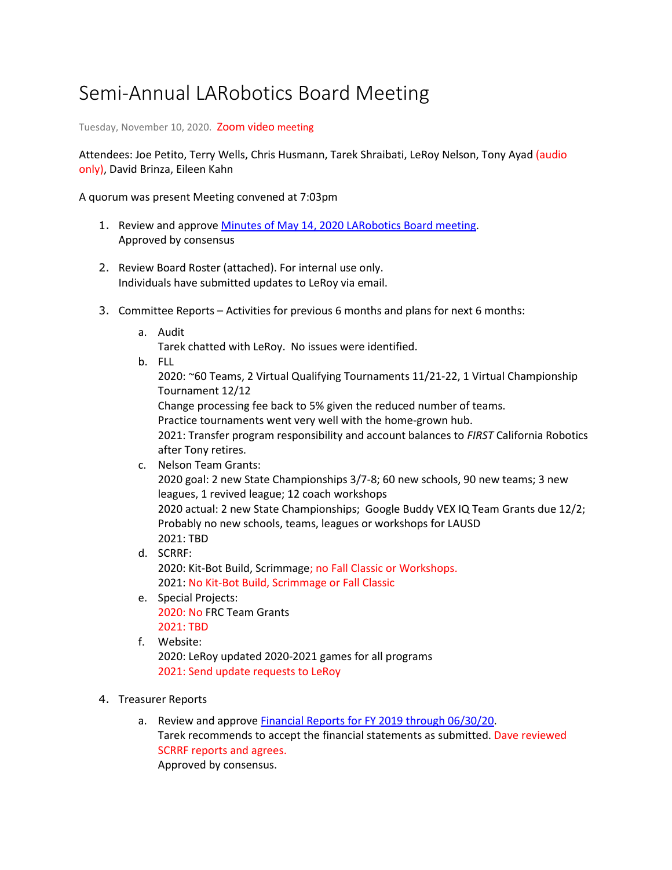## Semi-Annual LARobotics Board Meeting

Tuesday, November 10, 2020. Zoom video meeting

Attendees: Joe Petito, Terry Wells, Chris Husmann, Tarek Shraibati, LeRoy Nelson, Tony Ayad (audio only), David Brinza, Eileen Kahn

A quorum was present Meeting convened at 7:03pm

- 1. Review and approve Minutes of May 14, 2020 LARobotics Board meeting. Approved by consensus
- 2. Review Board Roster (attached). For internal use only. Individuals have submitted updates to LeRoy via email.
- 3. Committee Reports Activities for previous 6 months and plans for next 6 months:
	- a. Audit

Tarek chatted with LeRoy. No issues were identified.

b. FLL

2020: ~60 Teams, 2 Virtual Qualifying Tournaments 11/21-22, 1 Virtual Championship Tournament 12/12

Change processing fee back to 5% given the reduced number of teams.

Practice tournaments went very well with the home-grown hub.

2021: Transfer program responsibility and account balances to *FIRST* California Robotics after Tony retires.

c. Nelson Team Grants: 2020 goal: 2 new State Championships 3/7-8; 60 new schools, 90 new teams; 3 new leagues, 1 revived league; 12 coach workshops 2020 actual: 2 new State Championships; Google Buddy VEX IQ Team Grants due 12/2; Probably no new schools, teams, leagues or workshops for LAUSD 2021: TBD d. SCRRF: 2020: Kit-Bot Build, Scrimmage; no Fall Classic or Workshops.

2021: No Kit-Bot Build, Scrimmage or Fall Classic

- e. Special Projects: 2020: No FRC Team Grants 2021: TBD
- f. Website:

2020: LeRoy updated 2020-2021 games for all programs 2021: Send update requests to LeRoy

- 4. Treasurer Reports
	- a. Review and approve Financial Reports for FY 2019 through 06/30/20. Tarek recommends to accept the financial statements as submitted. Dave reviewed SCRRF reports and agrees. Approved by consensus.